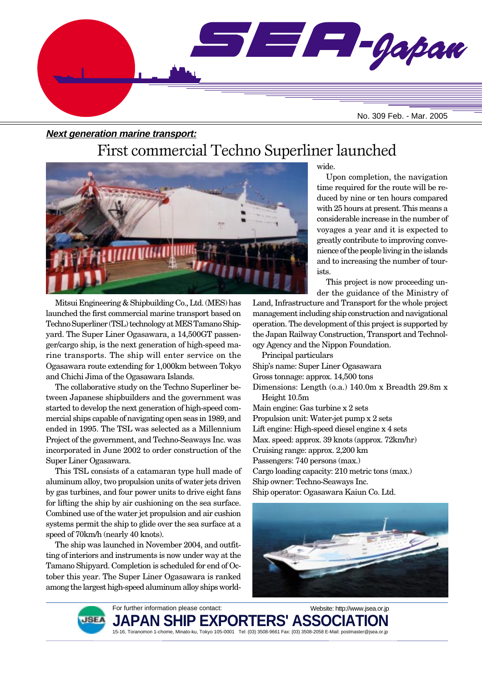

#### **Next generation marine transport:**

# First commercial Techno Superliner launched



Mitsui Engineering & Shipbuilding Co., Ltd. (MES) has launched the first commercial marine transport based on Techno Superliner (TSL) technology at MES Tamano Shipyard. The Super Liner Ogasawara, a 14,500GT passenger/cargo ship, is the next generation of high-speed marine transports. The ship will enter service on the Ogasawara route extending for 1,000km between Tokyo and Chichi Jima of the Ogasawara Islands.

The collaborative study on the Techno Superliner between Japanese shipbuilders and the government was started to develop the next generation of high-speed commercial ships capable of navigating open seas in 1989, and ended in 1995. The TSL was selected as a Millennium Project of the government, and Techno-Seaways Inc. was incorporated in June 2002 to order construction of the Super Liner Ogasawara.

This TSL consists of a catamaran type hull made of aluminum alloy, two propulsion units of water jets driven by gas turbines, and four power units to drive eight fans for lifting the ship by air cushioning on the sea surface. Combined use of the water jet propulsion and air cushion systems permit the ship to glide over the sea surface at a speed of 70km/h (nearly 40 knots).

The ship was launched in November 2004, and outfitting of interiors and instruments is now under way at the Tamano Shipyard. Completion is scheduled for end of October this year. The Super Liner Ogasawara is ranked among the largest high-speed aluminum alloy ships worldwide.

Upon completion, the navigation time required for the route will be reduced by nine or ten hours compared with 25 hours at present. This means a considerable increase in the number of voyages a year and it is expected to greatly contribute to improving convenience of the people living in the islands and to increasing the number of tourists.

This project is now proceeding under the guidance of the Ministry of

Land, Infrastructure and Transport for the whole project management including ship construction and navigational operation. The development of this project is supported by the Japan Railway Construction, Transport and Technology Agency and the Nippon Foundation.

Principal particulars Ship's name: Super Liner Ogasawara Gross tonnage: approx. 14,500 tons Dimensions: Length (o.a.) 140.0m x Breadth 29.8m x Height 10.5m Main engine: Gas turbine x 2 sets Propulsion unit: Water-jet pump x 2 sets Lift engine: High-speed diesel engine x 4 sets Max. speed: approx. 39 knots (approx. 72km/hr) Cruising range: approx. 2,200 km Passengers: 740 persons (max.) Cargo loading capacity: 210 metric tons (max.) Ship owner: Techno-Seaways Inc. Ship operator: Ogasawara Kaiun Co. Ltd.





For further information please contact: **JAPAN SHIP EXPORTERS' ASSO** 15-16, Toranomon 1-chome, Minato-ku, Tokyo 105-0001 Tel: (03) 3508-9661 Fax: (03) 3508-2058 E-Mail: postmaster@jsea.or.jp Website: http://www.jsea.or.jp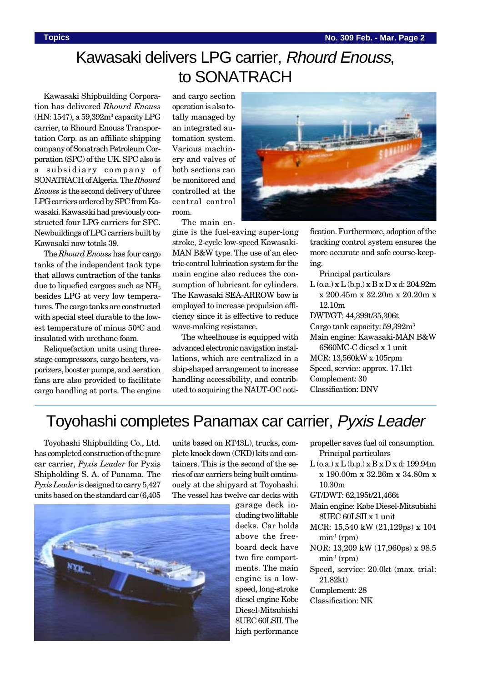# Kawasaki delivers LPG carrier, Rhourd Enouss, to SONATRACH

Kawasaki Shipbuilding Corporation has delivered *Rhourd Enouss* (HN: 1547), a 59,392m3 capacity LPG carrier, to Rhourd Enouss Transportation Corp. as an affiliate shipping company of Sonatrach Petroleum Corporation (SPC) of the UK. SPC also is a subsidiary company of SONATRACH of Algeria. The *Rhourd Enouss* is the second delivery of three LPG carriers ordered by SPC from Kawasaki. Kawasaki had previously constructed four LPG carriers for SPC. Newbuildings of LPG carriers built by Kawasaki now totals 39.

The *Rhourd Enouss* has four cargo tanks of the independent tank type that allows contraction of the tanks due to liquefied cargoes such as  $NH<sub>3</sub>$ besides LPG at very low temperatures. The cargo tanks are constructed with special steel durable to the lowest temperature of minus 50°C and insulated with urethane foam.

Reliquefaction units using threestage compressors, cargo heaters, vaporizers, booster pumps, and aeration fans are also provided to facilitate cargo handling at ports. The engine and cargo section operation is also totally managed by an integrated automation system. Various machinery and valves of both sections can be monitored and controlled at the central control room. The main en-

gine is the fuel-saving super-long stroke, 2-cycle low-speed Kawasaki-MAN B&W type. The use of an electric-control lubrication system for the main engine also reduces the consumption of lubricant for cylinders. The Kawasaki SEA-ARROW bow is employed to increase propulsion efficiency since it is effective to reduce wave-making resistance.

The wheelhouse is equipped with advanced electronic navigation installations, which are centralized in a ship-shaped arrangement to increase handling accessibility, and contributed to acquiring the NAUT-OC noti-



fication. Furthermore, adoption of the tracking control system ensures the more accurate and safe course-keeping.

Principal particulars L (o.a.) x L (b.p.) x B x D x d: 204.92m x 200.45m x 32.20m x 20.20m x 12.10m DWT/GT: 44,399t/35,306t Cargo tank capacity: 59,392m3 Main engine: Kawasaki-MAN B&W 6S60MC-C diesel x 1 unit MCR: 13,560kW x 105rpm Speed, service: approx. 17.1kt Complement: 30 Classification: DNV

## Toyohashi completes Panamax car carrier, Pyxis Leader

Toyohashi Shipbuilding Co., Ltd. has completed construction of the pure car carrier, *Pyxis Leader* for Pyxis Shipholding S. A. of Panama. The *Pyxis Leader* is designed to carry 5,427 units based on the standard car (6,405

units based on RT43L), trucks, complete knock down (CKD) kits and containers. This is the second of the series of car carriers being built continuously at the shipyard at Toyohashi. The vessel has twelve car decks with



garage deck including two liftable decks. Car holds above the freeboard deck have two fire compartments. The main engine is a lowspeed, long-stroke diesel engine Kobe Diesel-Mitsubishi 8UEC 60LSII. The high performance

- propeller saves fuel oil consumption. Principal particulars
- $L$  (o.a.) x  $L$  (b.p.) x  $B$  x  $D$  x d: 199.94m x 190.00m x 32.26m x 34.80m x 10.30m

GT/DWT: 62,195t/21,466t

- Main engine: Kobe Diesel-Mitsubishi 8UEC 60LSII x 1 unit
- MCR: 15,540 kW (21,129ps) x 104  $min<sup>-1</sup> (rpm)$
- NOR: 13,209 kW (17,960ps) x 98.5  $\min$ <sup>1</sup> (rpm)
- Speed, service: 20.0kt (max. trial: 21.82kt)

Complement: 28

Classification: NK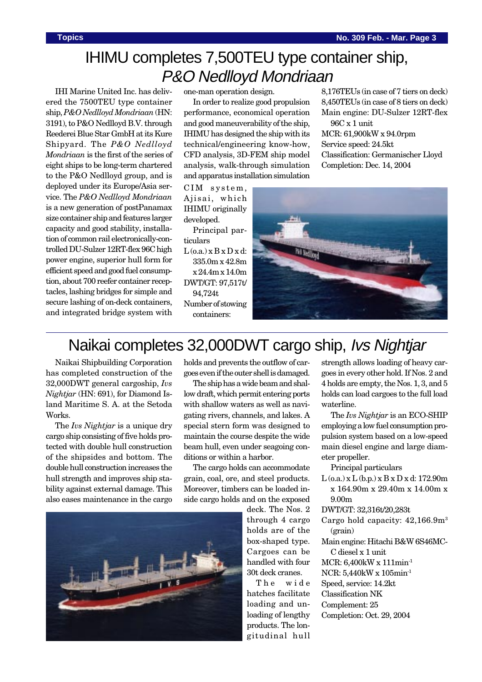8,176TEUs (in case of 7 tiers on deck) 8,450TEUs (in case of 8 tiers on deck) Main engine: DU-Sulzer 12RT-flex

Classification: Germanischer Lloyd

# IHIMU completes 7,500TEU type container ship, P&O Nedlloyd Mondriaan

IHI Marine United Inc. has delivered the 7500TEU type container ship, *P&O Nedlloyd Mondriaan* (HN: 3191), to P&O Nedlloyd B.V. through Reederei Blue Star GmbH at its Kure Shipyard. The *P&O Nedlloyd Mondriaan* is the first of the series of eight ships to be long-term chartered to the P&O Nedlloyd group, and is deployed under its Europe/Asia service. The *P&O Nedlloyd Mondriaan* is a new generation of postPanamax size container ship and features larger capacity and good stability, installation of common rail electronically-controlled DU-Sulzer 12RT-flex 96C high power engine, superior hull form for efficient speed and good fuel consumption, about 700 reefer container receptacles, lashing bridges for simple and secure lashing of on-deck containers, and integrated bridge system with

one-man operation design.

In order to realize good propulsion performance, economical operation and good maneuverability of the ship, IHIMU has designed the ship with its technical/engineering know-how, CFD analysis, 3D-FEM ship model analysis, walk-through simulation and apparatus installation simulation

CIM system, Ajisai, which IHIMU originally developed.

Principal particulars

 $L$  (o.a.)  $x B x D x d$ : 335.0m x 42.8m x 24.4m x 14.0m DWT/GT: 97,517t/ 94,724t

Number of stowing containers:



96C x 1 unit

MCR: 61,900kW x 94.0rpm Service speed: 24.5kt

Completion: Dec. 14, 2004

# Naikai completes 32,000DWT cargo ship, Ivs Nightjar

Naikai Shipbuilding Corporation has completed construction of the 32,000DWT general cargoship, *Ivs Nightjar* (HN: 691), for Diamond Island Maritime S. A. at the Setoda Works.

The *Ivs Nightjar* is a unique dry cargo ship consisting of five holds protected with double hull construction of the shipsides and bottom. The double hull construction increases the hull strength and improves ship stability against external damage. This also eases maintenance in the cargo holds and prevents the outflow of cargoes even if the outer shell is damaged.

The ship has a wide beam and shallow draft, which permit entering ports with shallow waters as well as navigating rivers, channels, and lakes. A special stern form was designed to maintain the course despite the wide beam hull, even under seagoing conditions or within a harbor.

The cargo holds can accommodate grain, coal, ore, and steel products. Moreover, timbers can be loaded inside cargo holds and on the exposed



deck. The Nos. 2 through 4 cargo holds are of the box-shaped type. Cargoes can be handled with four 30t deck cranes.

The wide hatches facilitate loading and unloading of lengthy products. The longitudinal hull

strength allows loading of heavy cargoes in every other hold. If Nos. 2 and 4 holds are empty, the Nos. 1, 3, and 5 holds can load cargoes to the full load waterline.

The *Ivs Nightjar* is an ECO-SHIP employing a low fuel consumption propulsion system based on a low-speed main diesel engine and large diameter propeller.

Principal particulars

- L (o.a.) x L (b.p.) x B x D x d: 172.90m x 164.90m x 29.40m x 14.00m x 9.00m
- DWT/GT: 32,316t/20,283t
- Cargo hold capacity: 42,166.9m3 (grain)
- Main engine: Hitachi B&W 6S46MC-C diesel x 1 unit

MCR: 6,400kW x 111min-1

NCR: 5,440kW x 105min-1

Speed, service: 14.2kt

Classification NK

- Complement: 25
- Completion: Oct. 29, 2004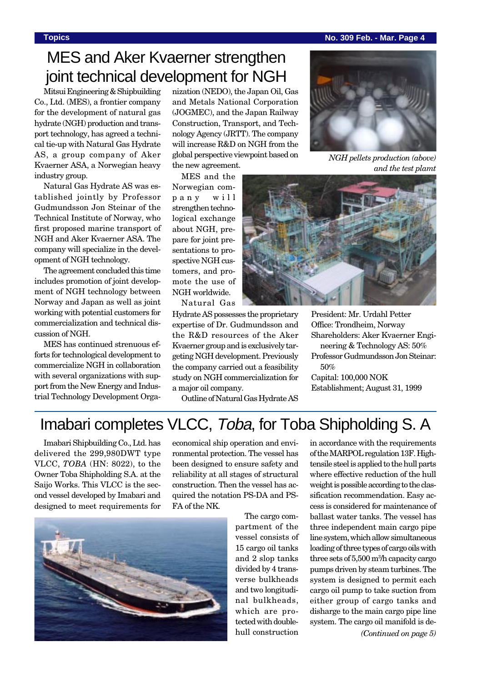#### **Topics No. 309 Feb. - Mar. Page 4**

# MES and Aker Kvaerner strengthen joint technical development for NGH

Mitsui Engineering & Shipbuilding Co., Ltd. (MES), a frontier company for the development of natural gas hydrate (NGH) production and transport technology, has agreed a technical tie-up with Natural Gas Hydrate AS, a group company of Aker Kvaerner ASA, a Norwegian heavy industry group.

Natural Gas Hydrate AS was established jointly by Professor Gudmundsson Jon Steinar of the Technical Institute of Norway, who first proposed marine transport of NGH and Aker Kvaerner ASA. The company will specialize in the development of NGH technology.

The agreement concluded this time includes promotion of joint development of NGH technology between Norway and Japan as well as joint working with potential customers for commercialization and technical discussion of NGH.

MES has continued strenuous efforts for technological development to commercialize NGH in collaboration with several organizations with support from the New Energy and Industrial Technology Development Organization (NEDO), the Japan Oil, Gas and Metals National Corporation (JOGMEC), and the Japan Railway Construction, Transport, and Technology Agency (JRTT). The company will increase R&D on NGH from the global perspective viewpoint based on the new agreement.

MES and the Norwegian company will strengthen technological exchange about NGH, prepare for joint presentations to prospective NGH customers, and promote the use of NGH worldwide.

Natural Gas

Hydrate AS possesses the proprietary expertise of Dr. Gudmundsson and the R&D resources of the Aker Kvaerner group and is exclusively targeting NGH development. Previously the company carried out a feasibility study on NGH commercialization for a major oil company.

Outline of Natural Gas Hydrate AS



*NGH pellets production (above) and the test plamt*



President: Mr. Urdahl Petter Office: Trondheim, Norway Shareholders: Aker Kvaerner Engineering & Technology AS: 50%

Professor Gudmundsson Jon Steinar: 50%

Capital: 100,000 NOK Establishment; August 31, 1999

## Imabari completes VLCC, Toba, for Toba Shipholding S. A

Imabari Shipbuilding Co., Ltd. has delivered the 299,980DWT type VLCC, *TOBA* (HN: 8022), to the Owner Toba Shipholding S.A. at the Saijo Works. This VLCC is the second vessel developed by Imabari and designed to meet requirements for



economical ship operation and environmental protection. The vessel has been designed to ensure safety and reliability at all stages of structural construction. Then the vessel has acquired the notation PS-DA and PS-FA of the NK.

> The cargo compartment of the vessel consists of 15 cargo oil tanks and 2 slop tanks divided by 4 transverse bulkheads and two longitudinal bulkheads, which are protected with doublehull construction

in accordance with the requirements of the MARPOL regulation 13F. Hightensile steel is applied to the hull parts where effective reduction of the hull weight is possible according to the classification recommendation. Easy access is considered for maintenance of ballast water tanks. The vessel has three independent main cargo pipe line system, which allow simultaneous loading of three types of cargo oils with three sets of 5,500 m3 /h capacity cargo pumps driven by steam turbines. The system is designed to permit each cargo oil pump to take suction from either group of cargo tanks and disharge to the main cargo pipe line system. The cargo oil manifold is de-

*(Continued on page 5)*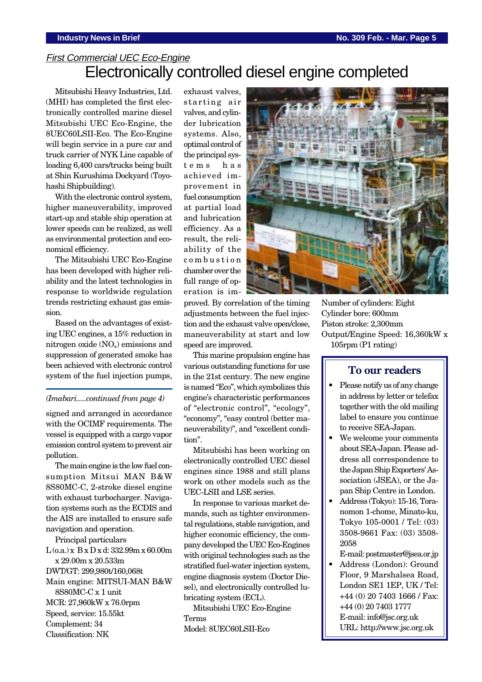## First Commercial UEC Eco-Engine Electronically controlled diesel engine completed

Mitsubishi Heavy Industries, Ltd. (MHI) has completed the first electronically controlled marine diesel Mitsubishi UEC Eco-Engine, the 8UEC60LSII-Eco. The Eco-Engine will begin service in a pure car and truck carrier of NYK Line capable of loading 6,400 cars/trucks being built at Shin Kurushima Dockyard (Toyohashi Shipbuilding).

With the electronic control system, higher maneuverability, improved start-up and stable ship operation at lower speeds can be realized, as well as environmental protection and economical efficiency.

The Mitsubishi UEC Eco-Engine has been developed with higher reliability and the latest technologies in response to worldwide regulation trends restricting exhaust gas emission.

Based on the advantages of existing UEC engines, a 15% reduction in nitrogen oxide  $(NO<sub>x</sub>)$  emissions and suppression of generated smoke has been achieved with electronic control system of the fuel injection pumps,

#### *(Imabari.....continued from page 4)*

signed and arranged in accordance with the OCIMF requirements. The vessel is equipped with a cargo vapor emission control system to prevent air pollution.

The main engine is the low fuel consumption Mitsui MAN B&W 8S80MC-C, 2-stroke diesel engine with exhaust turbocharger. Navigation systems such as the ECDIS and the AIS are installed to ensure safe navigation and operation.

Principal particulars

L (o.a.) x B x D x d: 332.99m x 60.00m x 29.00m x 20.533m DWT/GT: 299,980t/160,068t

Main engine: MITSUI-MAN B&W 8S80MC-C x 1 unit MCR: 27,960kW x 76.0rpm Speed, service: 15.55kt

Complement: 34 Classification: NK exhaust valves, starting air valves, and cylinder lubrication systems. Also, optimal control of the principal systems has achieved improvement in fuel consumption at partial load and lubrication efficiency. As a result, the reliability of the combustion chamber over the full range of operation is im-



proved. By correlation of the timing adjustments between the fuel injection and the exhaust valve open/close, maneuverability at start and low speed are improved.

This marine propulsion engine has various outstanding functions for use in the 21st century. The new engine is named "Eco", which symbolizes this engine's characteristic performances of "electronic control", "ecology", "economy", "easy control (better maneuverability)", and "excellent condition".

Mitsubishi has been working on electronically controlled UEC diesel engines since 1988 and still plans work on other models such as the UEC-LSII and LSE series.

In response to various market demands, such as tighter environmental regulations, stable navigation, and higher economic efficiency, the company developed the UEC Eco-Engines with original technologies such as the stratified fuel-water injection system, engine diagnosis system (Doctor Diesel), and electronically controlled lubricating system (ECL).

Mitsubishi UEC Eco-Engine Terms Model: 8UEC60LSII-Eco

Number of cylinders: Eight Cylinder bore: 600mm Piston stroke: 2,300mm Output/Engine Speed: 16,360kW x 105rpm (P1 rating)

#### **To our readers**

- Please notify us of any change in address by letter or telefax together with the old mailing label to ensure you continue to receive SEA-Japan.
- We welcome your comments about SEA-Japan. Please address all correspondence to the Japan Ship Exporters' Association (JSEA), or the Japan Ship Centre in London.
- Address (Tokyo): 15-16, Toranomon 1-chome, Minato-ku, Tokyo 105-0001 / Tel: (03) 3508-9661 Fax: (03) 3508- 2058
- E-mail: postmaster@jsea.or.jp • Address (London): Ground Floor, 9 Marshalsea Road, London SE1 1EP, UK / Tel: +44 (0) 20 7403 1666 / Fax: +44 (0) 20 7403 1777 E-mail: info@jsc.org.uk URL: http://www.jsc.org.uk